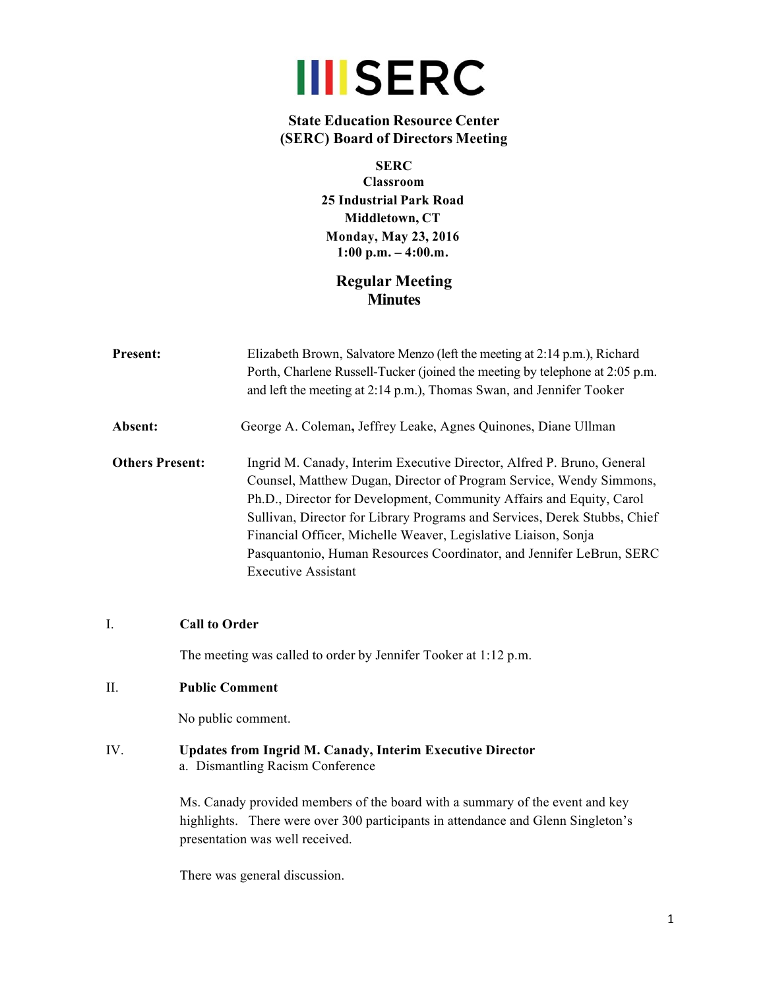

# **State Education Resource Center (SERC) Board of Directors Meeting**

**SERC Classroom 25 Industrial Park Road Middletown, CT Monday, May 23, 2016 1:00 p.m. – 4:00.m.**

# **Regular Meeting Minutes**

| <b>Present:</b>        | Elizabeth Brown, Salvatore Menzo (left the meeting at 2:14 p.m.), Richard<br>Porth, Charlene Russell-Tucker (joined the meeting by telephone at 2:05 p.m.<br>and left the meeting at 2:14 p.m.), Thomas Swan, and Jennifer Tooker                                                                                                                                                                                                                                          |
|------------------------|----------------------------------------------------------------------------------------------------------------------------------------------------------------------------------------------------------------------------------------------------------------------------------------------------------------------------------------------------------------------------------------------------------------------------------------------------------------------------|
| <b>Absent:</b>         | George A. Coleman, Jeffrey Leake, Agnes Quinones, Diane Ullman                                                                                                                                                                                                                                                                                                                                                                                                             |
| <b>Others Present:</b> | Ingrid M. Canady, Interim Executive Director, Alfred P. Bruno, General<br>Counsel, Matthew Dugan, Director of Program Service, Wendy Simmons,<br>Ph.D., Director for Development, Community Affairs and Equity, Carol<br>Sullivan, Director for Library Programs and Services, Derek Stubbs, Chief<br>Financial Officer, Michelle Weaver, Legislative Liaison, Sonja<br>Pasquantonio, Human Resources Coordinator, and Jennifer LeBrun, SERC<br><b>Executive Assistant</b> |

### I. **Call to Order**

The meeting was called to order by Jennifer Tooker at 1:12 p.m.

# II. **Public Comment**

No public comment.

IV. **Updates from Ingrid M. Canady, Interim Executive Director** a. Dismantling Racism Conference

> Ms. Canady provided members of the board with a summary of the event and key highlights. There were over 300 participants in attendance and Glenn Singleton's presentation was well received.

There was general discussion.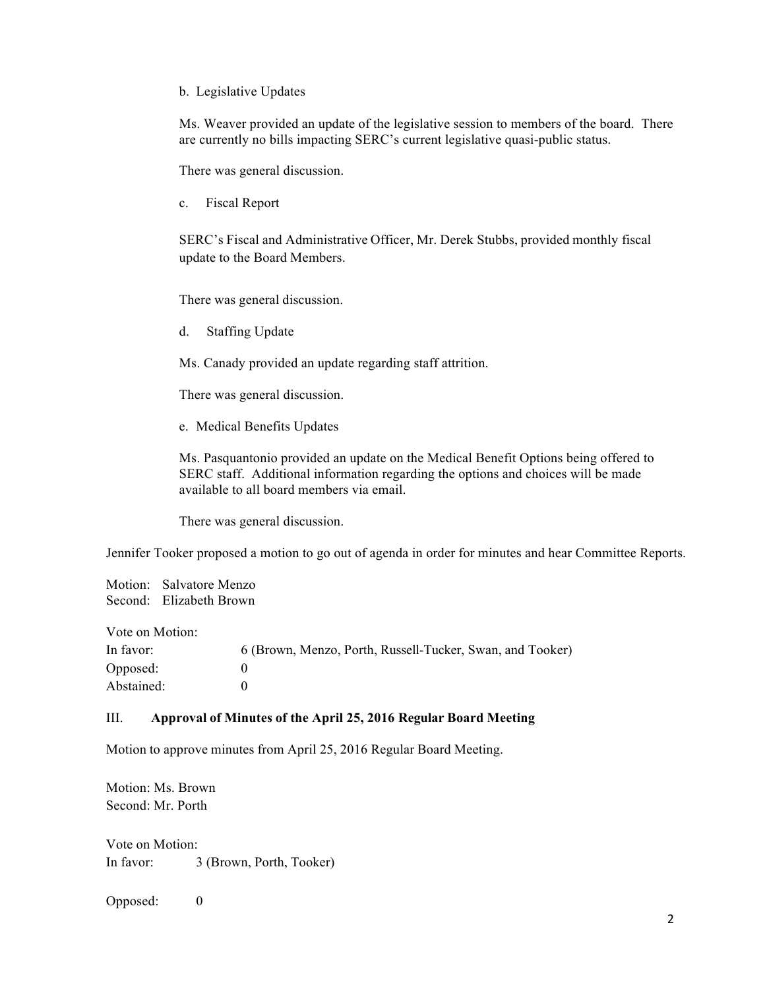#### b. Legislative Updates

Ms. Weaver provided an update of the legislative session to members of the board. There are currently no bills impacting SERC's current legislative quasi-public status.

There was general discussion.

c. Fiscal Report

SERC's Fiscal and Administrative Officer, Mr. Derek Stubbs, provided monthly fiscal update to the Board Members.

There was general discussion.

d. Staffing Update

Ms. Canady provided an update regarding staff attrition.

There was general discussion.

e. Medical Benefits Updates

Ms. Pasquantonio provided an update on the Medical Benefit Options being offered to SERC staff. Additional information regarding the options and choices will be made available to all board members via email.

There was general discussion.

Jennifer Tooker proposed a motion to go out of agenda in order for minutes and hear Committee Reports.

Motion: Salvatore Menzo Second: Elizabeth Brown

Vote on Motion:

| In favor:  | 6 (Brown, Menzo, Porth, Russell-Tucker, Swan, and Tooker) |
|------------|-----------------------------------------------------------|
| Opposed:   |                                                           |
| Abstained: |                                                           |

## III. **Approval of Minutes of the April 25, 2016 Regular Board Meeting**

Motion to approve minutes from April 25, 2016 Regular Board Meeting.

Motion: Ms. Brown Second: Mr. Porth

Vote on Motion: In favor: 3 (Brown, Porth, Tooker)

Opposed: 0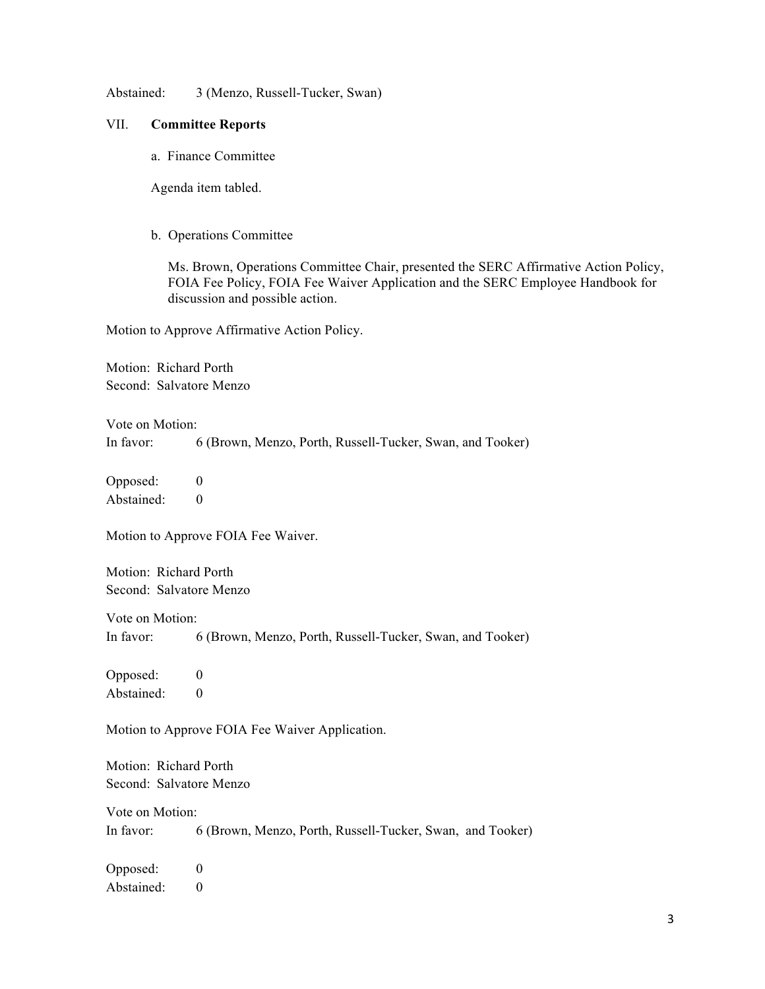Abstained: 3 (Menzo, Russell-Tucker, Swan)

#### VII. **Committee Reports**

a. Finance Committee

Agenda item tabled.

b. Operations Committee

Ms. Brown, Operations Committee Chair, presented the SERC Affirmative Action Policy, FOIA Fee Policy, FOIA Fee Waiver Application and the SERC Employee Handbook for discussion and possible action.

Motion to Approve Affirmative Action Policy.

Motion: Richard Porth Second: Salvatore Menzo

Vote on Motion: In favor: 6 (Brown, Menzo, Porth, Russell-Tucker, Swan, and Tooker)

Opposed: 0 Abstained: 0

Motion to Approve FOIA Fee Waiver.

Motion: Richard Porth Second: Salvatore Menzo

Vote on Motion: In favor: 6 (Brown, Menzo, Porth, Russell-Tucker, Swan, and Tooker)

Opposed: 0 Abstained: 0

Motion to Approve FOIA Fee Waiver Application.

Motion: Richard Porth Second: Salvatore Menzo

Vote on Motion: In favor: 6 (Brown, Menzo, Porth, Russell-Tucker, Swan, and Tooker)

Opposed: 0 Abstained: 0